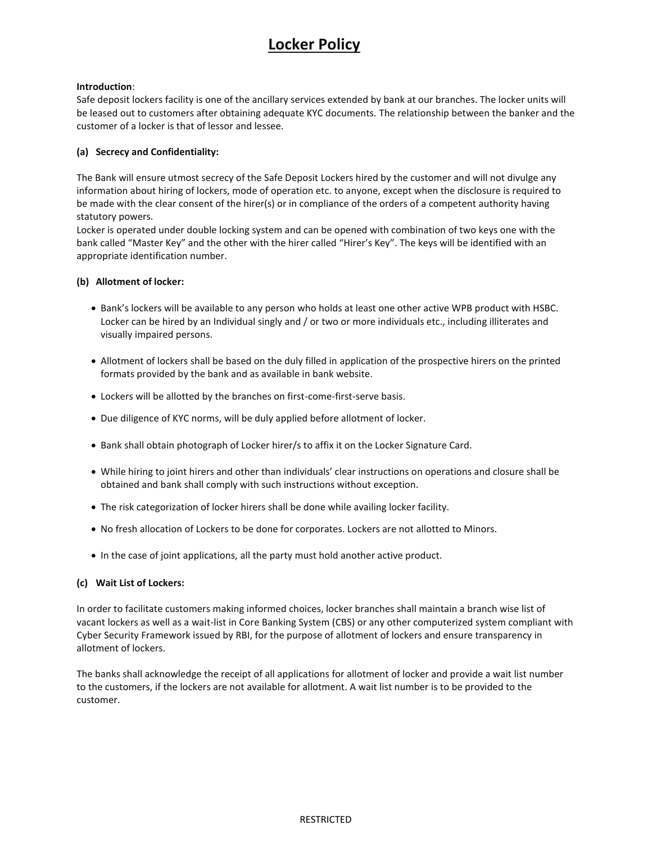# **Locker Policy**

## **Introduction**:

Safe deposit lockers facility is one of the ancillary services extended by bank at our branches. The locker units will be leased out to customers after obtaining adequate KYC documents. The relationship between the banker and the customer of a locker is that of lessor and lessee.

# **(a) Secrecy and Confidentiality:**

The Bank will ensure utmost secrecy of the Safe Deposit Lockers hired by the customer and will not divulge any information about hiring of lockers, mode of operation etc. to anyone, except when the disclosure is required to be made with the clear consent of the hirer(s) or in compliance of the orders of a competent authority having statutory powers.

Locker is operated under double locking system and can be opened with combination of two keys one with the bank called "Master Key" and the other with the hirer called "Hirer's Key". The keys will be identified with an appropriate identification number.

## **(b) Allotment of locker:**

- Bank's lockers will be available to any person who holds at least one other active WPB product with HSBC. Locker can be hired by an Individual singly and / or two or more individuals etc., including illiterates and visually impaired persons.
- Allotment of lockers shall be based on the duly filled in application of the prospective hirers on the printed formats provided by the bank and as available in bank website.
- Lockers will be allotted by the branches on first-come-first-serve basis.
- Due diligence of KYC norms, will be duly applied before allotment of locker.
- Bank shall obtain photograph of Locker hirer/s to affix it on the Locker Signature Card.
- While hiring to joint hirers and other than individuals' clear instructions on operations and closure shall be obtained and bank shall comply with such instructions without exception.
- The risk categorization of locker hirers shall be done while availing locker facility.
- No fresh allocation of Lockers to be done for corporates. Lockers are not allotted to Minors.
- In the case of joint applications, all the party must hold another active product.

#### **(c) Wait List of Lockers:**

In order to facilitate customers making informed choices, locker branches shall maintain a branch wise list of vacant lockers as well as a wait-list in Core Banking System (CBS) or any other computerized system compliant with Cyber Security Framework issued by RBI, for the purpose of allotment of lockers and ensure transparency in allotment of lockers.

The banks shall acknowledge the receipt of all applications for allotment of locker and provide a wait list number to the customers, if the lockers are not available for allotment. A wait list number is to be provided to the customer.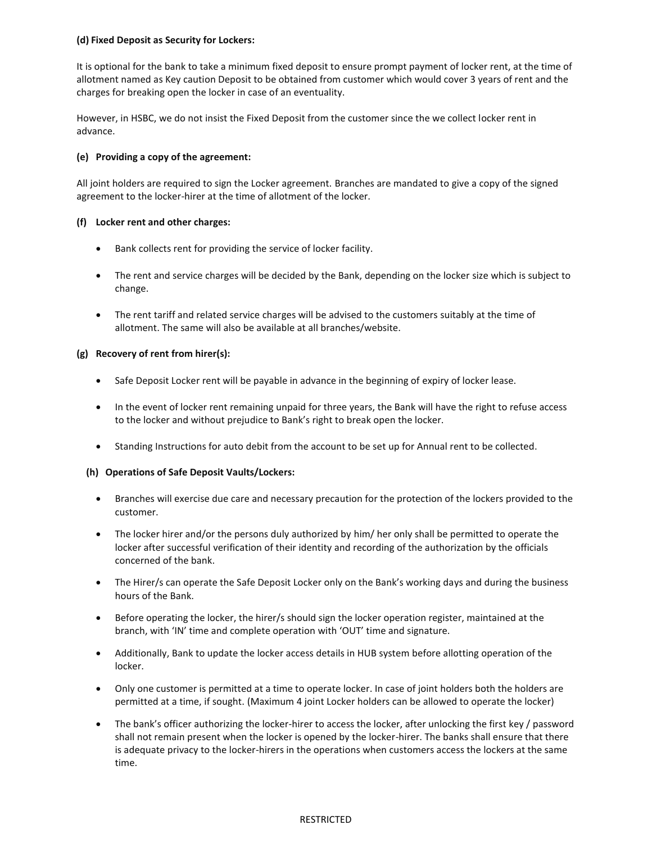## **(d) Fixed Deposit as Security for Lockers:**

It is optional for the bank to take a minimum fixed deposit to ensure prompt payment of locker rent, at the time of allotment named as Key caution Deposit to be obtained from customer which would cover 3 years of rent and the charges for breaking open the locker in case of an eventuality.

However, in HSBC, we do not insist the Fixed Deposit from the customer since the we collect locker rent in advance.

## **(e) Providing a copy of the agreement:**

All joint holders are required to sign the Locker agreement. Branches are mandated to give a copy of the signed agreement to the locker-hirer at the time of allotment of the locker.

## **(f) Locker rent and other charges:**

- Bank collects rent for providing the service of locker facility.
- The rent and service charges will be decided by the Bank, depending on the locker size which is subject to change.
- The rent tariff and related service charges will be advised to the customers suitably at the time of allotment. The same will also be available at all branches/website.

## **(g) Recovery of rent from hirer(s):**

- Safe Deposit Locker rent will be payable in advance in the beginning of expiry of locker lease.
- In the event of locker rent remaining unpaid for three years, the Bank will have the right to refuse access to the locker and without prejudice to Bank's right to break open the locker.
- Standing Instructions for auto debit from the account to be set up for Annual rent to be collected.

# **(h) Operations of Safe Deposit Vaults/Lockers:**

- Branches will exercise due care and necessary precaution for the protection of the lockers provided to the customer.
- The locker hirer and/or the persons duly authorized by him/ her only shall be permitted to operate the locker after successful verification of their identity and recording of the authorization by the officials concerned of the bank.
- The Hirer/s can operate the Safe Deposit Locker only on the Bank's working days and during the business hours of the Bank.
- Before operating the locker, the hirer/s should sign the locker operation register, maintained at the branch, with 'IN' time and complete operation with 'OUT' time and signature.
- Additionally, Bank to update the locker access details in HUB system before allotting operation of the locker.
- Only one customer is permitted at a time to operate locker. In case of joint holders both the holders are permitted at a time, if sought. (Maximum 4 joint Locker holders can be allowed to operate the locker)
- The bank's officer authorizing the locker-hirer to access the locker, after unlocking the first key / password shall not remain present when the locker is opened by the locker-hirer. The banks shall ensure that there is adequate privacy to the locker-hirers in the operations when customers access the lockers at the same time.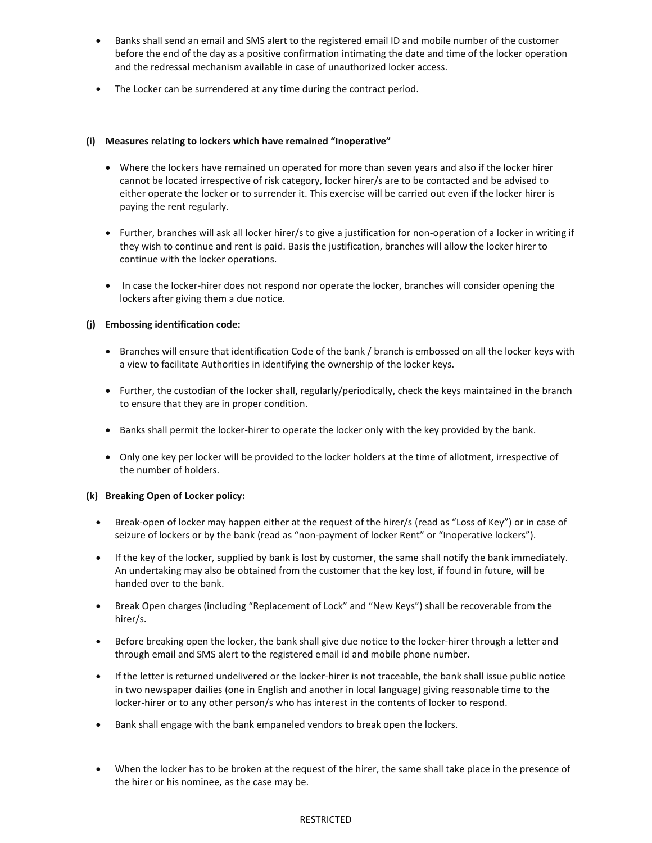- Banks shall send an email and SMS alert to the registered email ID and mobile number of the customer before the end of the day as a positive confirmation intimating the date and time of the locker operation and the redressal mechanism available in case of unauthorized locker access.
- The Locker can be surrendered at any time during the contract period.

## **(i) Measures relating to lockers which have remained "Inoperative"**

- Where the lockers have remained un operated for more than seven years and also if the locker hirer cannot be located irrespective of risk category, locker hirer/s are to be contacted and be advised to either operate the locker or to surrender it. This exercise will be carried out even if the locker hirer is paying the rent regularly.
- Further, branches will ask all locker hirer/s to give a justification for non-operation of a locker in writing if they wish to continue and rent is paid. Basis the justification, branches will allow the locker hirer to continue with the locker operations.
- In case the locker-hirer does not respond nor operate the locker, branches will consider opening the lockers after giving them a due notice.

# **(j) Embossing identification code:**

- Branches will ensure that identification Code of the bank / branch is embossed on all the locker keys with a view to facilitate Authorities in identifying the ownership of the locker keys.
- Further, the custodian of the locker shall, regularly/periodically, check the keys maintained in the branch to ensure that they are in proper condition.
- Banks shall permit the locker-hirer to operate the locker only with the key provided by the bank.
- Only one key per locker will be provided to the locker holders at the time of allotment, irrespective of the number of holders.

#### **(k) Breaking Open of Locker policy:**

- Break-open of locker may happen either at the request of the hirer/s (read as "Loss of Key") or in case of seizure of lockers or by the bank (read as "non-payment of locker Rent" or "Inoperative lockers").
- If the key of the locker, supplied by bank is lost by customer, the same shall notify the bank immediately. An undertaking may also be obtained from the customer that the key lost, if found in future, will be handed over to the bank.
- Break Open charges (including "Replacement of Lock" and "New Keys") shall be recoverable from the hirer/s.
- **•** Before breaking open the locker, the bank shall give due notice to the locker-hirer through a letter and through email and SMS alert to the registered email id and mobile phone number.
- If the letter is returned undelivered or the locker-hirer is not traceable, the bank shall issue public notice in two newspaper dailies (one in English and another in local language) giving reasonable time to the locker-hirer or to any other person/s who has interest in the contents of locker to respond.
- Bank shall engage with the bank empaneled vendors to break open the lockers.
- When the locker has to be broken at the request of the hirer, the same shall take place in the presence of the hirer or his nominee, as the case may be.

# RESTRICTED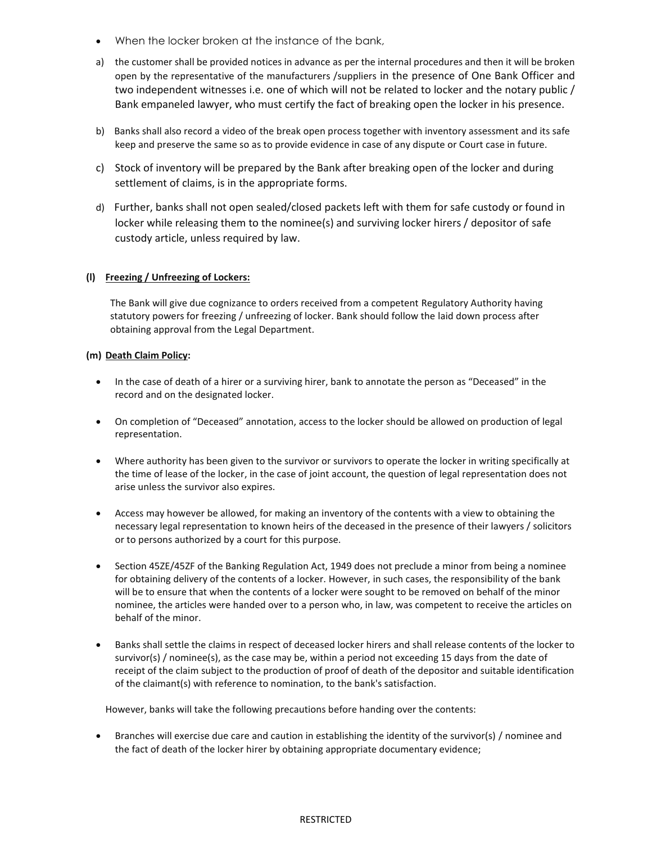- When the locker broken at the instance of the bank,
- a) the customer shall be provided notices in advance as per the internal procedures and then it will be broken open by the representative of the manufacturers /suppliers in the presence of One Bank Officer and two independent witnesses i.e. one of which will not be related to locker and the notary public / Bank empaneled lawyer, who must certify the fact of breaking open the locker in his presence.
- b) Banks shall also record a video of the break open process together with inventory assessment and its safe keep and preserve the same so as to provide evidence in case of any dispute or Court case in future.
- c) Stock of inventory will be prepared by the Bank after breaking open of the locker and during settlement of claims, is in the appropriate forms.
- d) Further, banks shall not open sealed/closed packets left with them for safe custody or found in locker while releasing them to the nominee(s) and surviving locker hirers / depositor of safe custody article, unless required by law.

## **(l) Freezing / Unfreezing of Lockers:**

The Bank will give due cognizance to orders received from a competent Regulatory Authority having statutory powers for freezing / unfreezing of locker. Bank should follow the laid down process after obtaining approval from the Legal Department.

## **(m) Death Claim Policy:**

- In the case of death of a hirer or a surviving hirer, bank to annotate the person as "Deceased" in the record and on the designated locker.
- On completion of "Deceased" annotation, access to the locker should be allowed on production of legal representation.
- Where authority has been given to the survivor or survivors to operate the locker in writing specifically at the time of lease of the locker, in the case of joint account, the question of legal representation does not arise unless the survivor also expires.
- Access may however be allowed, for making an inventory of the contents with a view to obtaining the necessary legal representation to known heirs of the deceased in the presence of their lawyers / solicitors or to persons authorized by a court for this purpose.
- Section 45ZE/45ZF of the Banking Regulation Act, 1949 does not preclude a minor from being a nominee for obtaining delivery of the contents of a locker. However, in such cases, the responsibility of the bank will be to ensure that when the contents of a locker were sought to be removed on behalf of the minor nominee, the articles were handed over to a person who, in law, was competent to receive the articles on behalf of the minor.
- Banks shall settle the claims in respect of deceased locker hirers and shall release contents of the locker to survivor(s) / nominee(s), as the case may be, within a period not exceeding 15 days from the date of receipt of the claim subject to the production of proof of death of the depositor and suitable identification of the claimant(s) with reference to nomination, to the bank's satisfaction.

However, banks will take the following precautions before handing over the contents:

 Branches will exercise due care and caution in establishing the identity of the survivor(s) / nominee and the fact of death of the locker hirer by obtaining appropriate documentary evidence;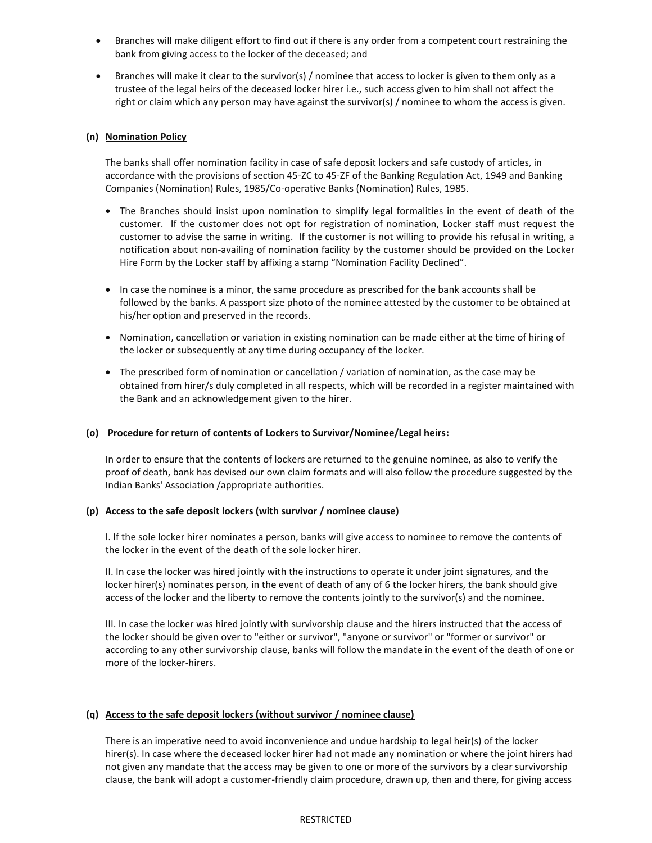- Branches will make diligent effort to find out if there is any order from a competent court restraining the bank from giving access to the locker of the deceased; and
- Branches will make it clear to the survivor(s) / nominee that access to locker is given to them only as a trustee of the legal heirs of the deceased locker hirer i.e., such access given to him shall not affect the right or claim which any person may have against the survivor(s) / nominee to whom the access is given.

## **(n) Nomination Policy**

The banks shall offer nomination facility in case of safe deposit lockers and safe custody of articles, in accordance with the provisions of section 45-ZC to 45-ZF of the Banking Regulation Act, 1949 and Banking Companies (Nomination) Rules, 1985/Co-operative Banks (Nomination) Rules, 1985.

- The Branches should insist upon nomination to simplify legal formalities in the event of death of the customer. If the customer does not opt for registration of nomination, Locker staff must request the customer to advise the same in writing. If the customer is not willing to provide his refusal in writing, a notification about non-availing of nomination facility by the customer should be provided on the Locker Hire Form by the Locker staff by affixing a stamp "Nomination Facility Declined".
- In case the nominee is a minor, the same procedure as prescribed for the bank accounts shall be followed by the banks. A passport size photo of the nominee attested by the customer to be obtained at his/her option and preserved in the records.
- Nomination, cancellation or variation in existing nomination can be made either at the time of hiring of the locker or subsequently at any time during occupancy of the locker.
- The prescribed form of nomination or cancellation / variation of nomination, as the case may be obtained from hirer/s duly completed in all respects, which will be recorded in a register maintained with the Bank and an acknowledgement given to the hirer.

# **(o) Procedure for return of contents of Lockers to Survivor/Nominee/Legal heirs:**

In order to ensure that the contents of lockers are returned to the genuine nominee, as also to verify the proof of death, bank has devised our own claim formats and will also follow the procedure suggested by the Indian Banks' Association /appropriate authorities.

#### **(p) Access to the safe deposit lockers (with survivor / nominee clause)**

I. If the sole locker hirer nominates a person, banks will give access to nominee to remove the contents of the locker in the event of the death of the sole locker hirer.

II. In case the locker was hired jointly with the instructions to operate it under joint signatures, and the locker hirer(s) nominates person, in the event of death of any of 6 the locker hirers, the bank should give access of the locker and the liberty to remove the contents jointly to the survivor(s) and the nominee.

III. In case the locker was hired jointly with survivorship clause and the hirers instructed that the access of the locker should be given over to "either or survivor", "anyone or survivor" or "former or survivor" or according to any other survivorship clause, banks will follow the mandate in the event of the death of one or more of the locker-hirers.

# **(q) Access to the safe deposit lockers (without survivor / nominee clause)**

There is an imperative need to avoid inconvenience and undue hardship to legal heir(s) of the locker hirer(s). In case where the deceased locker hirer had not made any nomination or where the joint hirers had not given any mandate that the access may be given to one or more of the survivors by a clear survivorship clause, the bank will adopt a customer-friendly claim procedure, drawn up, then and there, for giving access

## RESTRICTED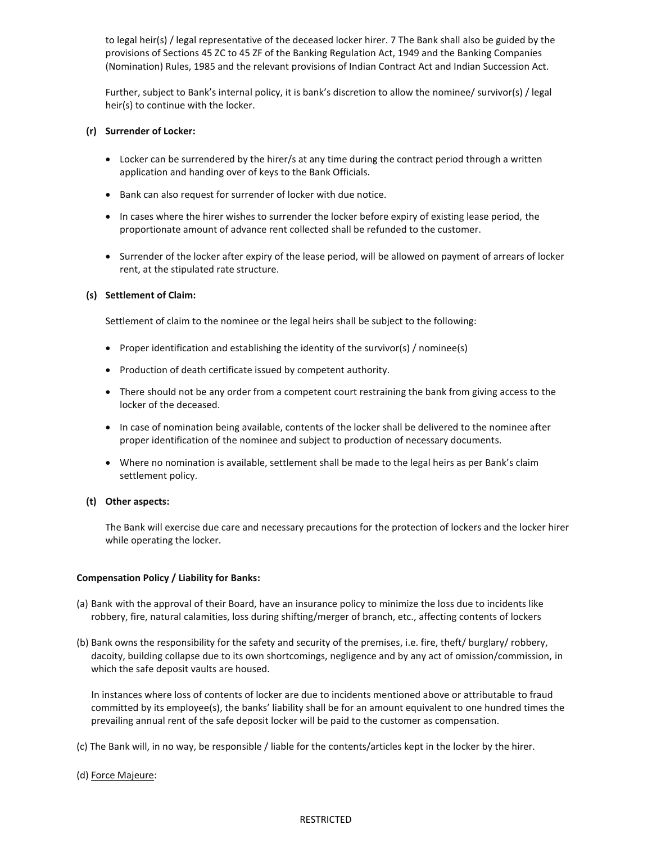to legal heir(s) / legal representative of the deceased locker hirer. 7 The Bank shall also be guided by the provisions of Sections 45 ZC to 45 ZF of the Banking Regulation Act, 1949 and the Banking Companies (Nomination) Rules, 1985 and the relevant provisions of Indian Contract Act and Indian Succession Act.

Further, subject to Bank's internal policy, it is bank's discretion to allow the nominee/ survivor(s) / legal heir(s) to continue with the locker.

#### **(r) Surrender of Locker:**

- Locker can be surrendered by the hirer/s at any time during the contract period through a written application and handing over of keys to the Bank Officials.
- Bank can also request for surrender of locker with due notice.
- In cases where the hirer wishes to surrender the locker before expiry of existing lease period, the proportionate amount of advance rent collected shall be refunded to the customer.
- Surrender of the locker after expiry of the lease period, will be allowed on payment of arrears of locker rent, at the stipulated rate structure.

## **(s) Settlement of Claim:**

Settlement of claim to the nominee or the legal heirs shall be subject to the following:

- Proper identification and establishing the identity of the survivor(s) / nominee(s)
- Production of death certificate issued by competent authority.
- There should not be any order from a competent court restraining the bank from giving access to the locker of the deceased.
- In case of nomination being available, contents of the locker shall be delivered to the nominee after proper identification of the nominee and subject to production of necessary documents.
- Where no nomination is available, settlement shall be made to the legal heirs as per Bank's claim settlement policy.

#### **(t) Other aspects:**

The Bank will exercise due care and necessary precautions for the protection of lockers and the locker hirer while operating the locker.

#### **Compensation Policy / Liability for Banks:**

- (a) Bank with the approval of their Board, have an insurance policy to minimize the loss due to incidents like robbery, fire, natural calamities, loss during shifting/merger of branch, etc., affecting contents of lockers
- (b) Bank owns the responsibility for the safety and security of the premises, i.e. fire, theft/ burglary/ robbery, dacoity, building collapse due to its own shortcomings, negligence and by any act of omission/commission, in which the safe deposit vaults are housed.

 In instances where loss of contents of locker are due to incidents mentioned above or attributable to fraud committed by its employee(s), the banks' liability shall be for an amount equivalent to one hundred times the prevailing annual rent of the safe deposit locker will be paid to the customer as compensation.

- (c) The Bank will, in no way, be responsible / liable for the contents/articles kept in the locker by the hirer.
- (d) Force Majeure:

#### RESTRICTED